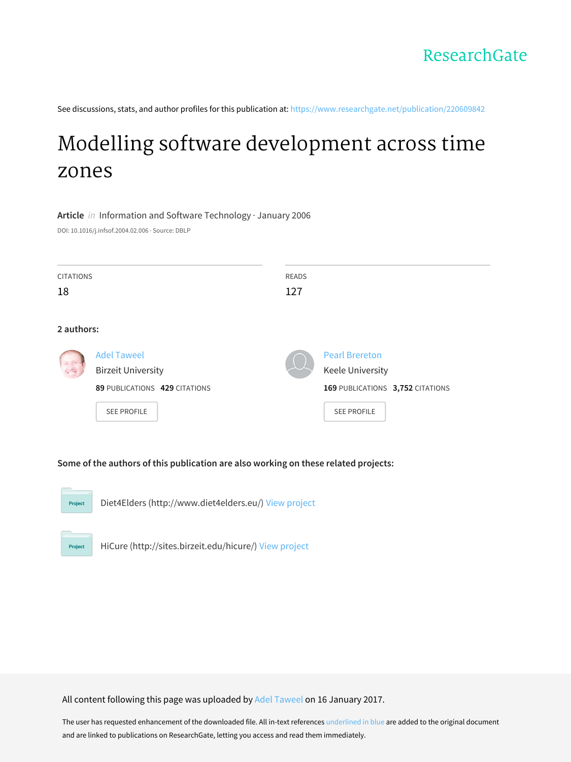See discussions, stats, and author profiles for this publication at: [https://www.researchgate.net/publication/220609842](https://www.researchgate.net/publication/220609842_Modelling_software_development_across_time_zones?enrichId=rgreq-f1b5d109ee81480a62843f7e3348d16b-XXX&enrichSource=Y292ZXJQYWdlOzIyMDYwOTg0MjtBUzo5ODc5NjkxMDQxNTg3NkAxNDAwNTY2NDI3MDQx&el=1_x_2&_esc=publicationCoverPdf)

# Modelling software [development](https://www.researchgate.net/publication/220609842_Modelling_software_development_across_time_zones?enrichId=rgreq-f1b5d109ee81480a62843f7e3348d16b-XXX&enrichSource=Y292ZXJQYWdlOzIyMDYwOTg0MjtBUzo5ODc5NjkxMDQxNTg3NkAxNDAwNTY2NDI3MDQx&el=1_x_3&_esc=publicationCoverPdf) across time zones

**Article** in Information and Software Technology · January 2006

DOI: 10.1016/j.infsof.2004.02.006 · Source: DBLP

| <b>CITATIONS</b> |                               | <b>READS</b> |                                  |  |  |
|------------------|-------------------------------|--------------|----------------------------------|--|--|
| 18               |                               | 127          |                                  |  |  |
|                  |                               |              |                                  |  |  |
| 2 authors:       |                               |              |                                  |  |  |
|                  | <b>Adel Taweel</b>            |              | <b>Pearl Brereton</b>            |  |  |
| 高                | <b>Birzeit University</b>     |              | <b>Keele University</b>          |  |  |
|                  | 89 PUBLICATIONS 429 CITATIONS |              | 169 PUBLICATIONS 3,752 CITATIONS |  |  |
|                  | <b>SEE PROFILE</b>            |              | <b>SEE PROFILE</b>               |  |  |

**Some of the authors of this publication are also working on these related projects:**



Diet4Elders (http://www.diet4elders.eu/) View [project](https://www.researchgate.net/project/Diet4Elders-http-wwwdiet4elderseu?enrichId=rgreq-f1b5d109ee81480a62843f7e3348d16b-XXX&enrichSource=Y292ZXJQYWdlOzIyMDYwOTg0MjtBUzo5ODc5NjkxMDQxNTg3NkAxNDAwNTY2NDI3MDQx&el=1_x_9&_esc=publicationCoverPdf)



HiCure (http://sites.birzeit.edu/hicure/) View [project](https://www.researchgate.net/project/HiCure-http-sitesbirzeitedu-hicure?enrichId=rgreq-f1b5d109ee81480a62843f7e3348d16b-XXX&enrichSource=Y292ZXJQYWdlOzIyMDYwOTg0MjtBUzo5ODc5NjkxMDQxNTg3NkAxNDAwNTY2NDI3MDQx&el=1_x_9&_esc=publicationCoverPdf)

All content following this page was uploaded by Adel [Taweel](https://www.researchgate.net/profile/Adel_Taweel?enrichId=rgreq-f1b5d109ee81480a62843f7e3348d16b-XXX&enrichSource=Y292ZXJQYWdlOzIyMDYwOTg0MjtBUzo5ODc5NjkxMDQxNTg3NkAxNDAwNTY2NDI3MDQx&el=1_x_10&_esc=publicationCoverPdf) on 16 January 2017.

The user has requested enhancement of the downloaded file. All in-text references underlined in blue are added to the original document and are linked to publications on ResearchGate, letting you access and read them immediately.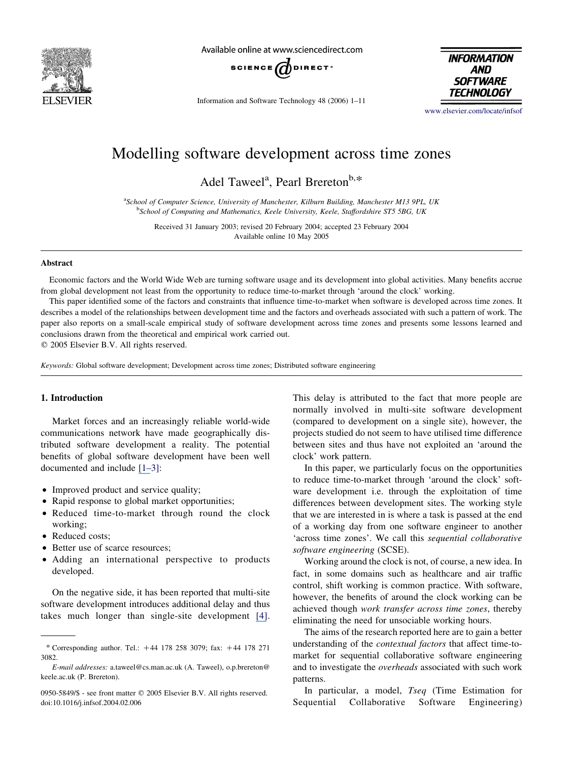

Available online at www.sciencedirect.com



Information and Software Technology 48 (2006) 1–11

**INFORMATION AND SOFTWARE TECHNOLOGY** 

[www.elsevier.com/locate/infsof](http://www.elsevier.com/locate/infsof)

# Modelling software development across time zones

Adel Taweel<sup>a</sup>, Pearl Brereton<sup>b,\*</sup>

<sup>a</sup>School of Computer Science, University of Manchester, Kilburn Building, Manchester M13 9PL, UK <sup>b</sup>School of Computing and Mathematics, Keele University, Keele, Staffordshire ST5 5BG, UK

> Received 31 January 2003; revised 20 February 2004; accepted 23 February 2004 Available online 10 May 2005

#### Abstract

Economic factors and the World Wide Web are turning software usage and its development into global activities. Many benefits accrue from global development not least from the opportunity to reduce time-to-market through 'around the clock' working.

This paper identified some of the factors and constraints that influence time-to-market when software is developed across time zones. It describes a model of the relationships between development time and the factors and overheads associated with such a pattern of work. The paper also reports on a small-scale empirical study of software development across time zones and presents some lessons learned and conclusions drawn from the theoretical and empirical work carried out.

 $© 2005 Elsevier B.V. All rights reserved.$ 

Keywords: Global software development; Development across time zones; Distributed software engineering

# 1. Introduction

Market forces and an increasingly reliable world-wide communications network have made geographically distributed software development a reality. The potential benefits of global software development have been well documented and include [\[1–3\]](#page-10-0):

- Improved product and service quality;
- Rapid response to global market opportunities;
- Reduced time-to-market through round the clock working;
- Reduced costs;
- Better use of scarce resources:
- † Adding an international perspective to products developed.

On the negative side, it has been reported that multi-site software development introduces additional delay and thus takes much longer than single-site development [\[4\]](#page-10-0).

This delay is attributed to the fact that more people are normally involved in multi-site software development (compared to development on a single site), however, the projects studied do not seem to have utilised time difference between sites and thus have not exploited an 'around the clock' work pattern.

In this paper, we particularly focus on the opportunities to reduce time-to-market through 'around the clock' software development i.e. through the exploitation of time differences between development sites. The working style that we are interested in is where a task is passed at the end of a working day from one software engineer to another 'across time zones'. We call this sequential collaborative software engineering (SCSE).

Working around the clock is not, of course, a new idea. In fact, in some domains such as healthcare and air traffic control, shift working is common practice. With software, however, the benefits of around the clock working can be achieved though work transfer across time zones, thereby eliminating the need for unsociable working hours.

The aims of the research reported here are to gain a better understanding of the contextual factors that affect time-tomarket for sequential collaborative software engineering and to investigate the overheads associated with such work patterns.

In particular, a model, *Tseq* (Time Estimation for Sequential Collaborative Software Engineering)

<sup>\*</sup> Corresponding author. Tel.:  $+44$  178 258 3079; fax:  $+44$  178 271 3082.

E-mail addresses: a.taweel@cs.man.ac.uk (A. Taweel), o.p.brereton@ keele.ac.uk (P. Brereton).

<sup>0950-5849/\$ -</sup> see front matter © 2005 Elsevier B.V. All rights reserved. doi:10.1016/j.infsof.2004.02.006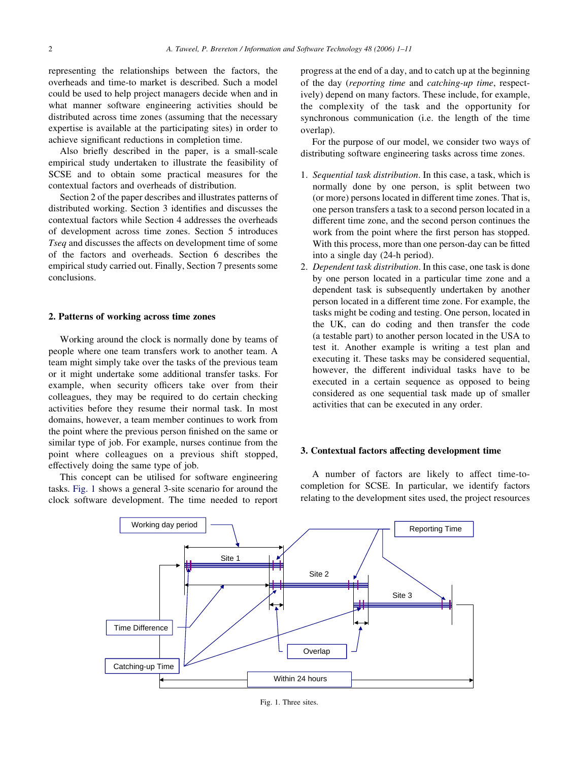representing the relationships between the factors, the overheads and time-to market is described. Such a model could be used to help project managers decide when and in what manner software engineering activities should be distributed across time zones (assuming that the necessary expertise is available at the participating sites) in order to achieve significant reductions in completion time.

Also briefly described in the paper, is a small-scale empirical study undertaken to illustrate the feasibility of SCSE and to obtain some practical measures for the contextual factors and overheads of distribution.

Section 2 of the paper describes and illustrates patterns of distributed working. Section 3 identifies and discusses the contextual factors while Section 4 addresses the overheads of development across time zones. Section 5 introduces Tseq and discusses the affects on development time of some of the factors and overheads. Section 6 describes the empirical study carried out. Finally, Section 7 presents some conclusions.

#### 2. Patterns of working across time zones

Working around the clock is normally done by teams of people where one team transfers work to another team. A team might simply take over the tasks of the previous team or it might undertake some additional transfer tasks. For example, when security officers take over from their colleagues, they may be required to do certain checking activities before they resume their normal task. In most domains, however, a team member continues to work from the point where the previous person finished on the same or similar type of job. For example, nurses continue from the point where colleagues on a previous shift stopped, effectively doing the same type of job.

This concept can be utilised for software engineering tasks. Fig. 1 shows a general 3-site scenario for around the clock software development. The time needed to report

progress at the end of a day, and to catch up at the beginning of the day (reporting time and catching-up time, respectively) depend on many factors. These include, for example, the complexity of the task and the opportunity for synchronous communication (i.e. the length of the time overlap).

For the purpose of our model, we consider two ways of distributing software engineering tasks across time zones.

- 1. Sequential task distribution. In this case, a task, which is normally done by one person, is split between two (or more) persons located in different time zones. That is, one person transfers a task to a second person located in a different time zone, and the second person continues the work from the point where the first person has stopped. With this process, more than one person-day can be fitted into a single day (24-h period).
- 2. Dependent task distribution. In this case, one task is done by one person located in a particular time zone and a dependent task is subsequently undertaken by another person located in a different time zone. For example, the tasks might be coding and testing. One person, located in the UK, can do coding and then transfer the code (a testable part) to another person located in the USA to test it. Another example is writing a test plan and executing it. These tasks may be considered sequential, however, the different individual tasks have to be executed in a certain sequence as opposed to being considered as one sequential task made up of smaller activities that can be executed in any order.

#### 3. Contextual factors affecting development time

A number of factors are likely to affect time-tocompletion for SCSE. In particular, we identify factors relating to the development sites used, the project resources



Fig. 1. Three sites.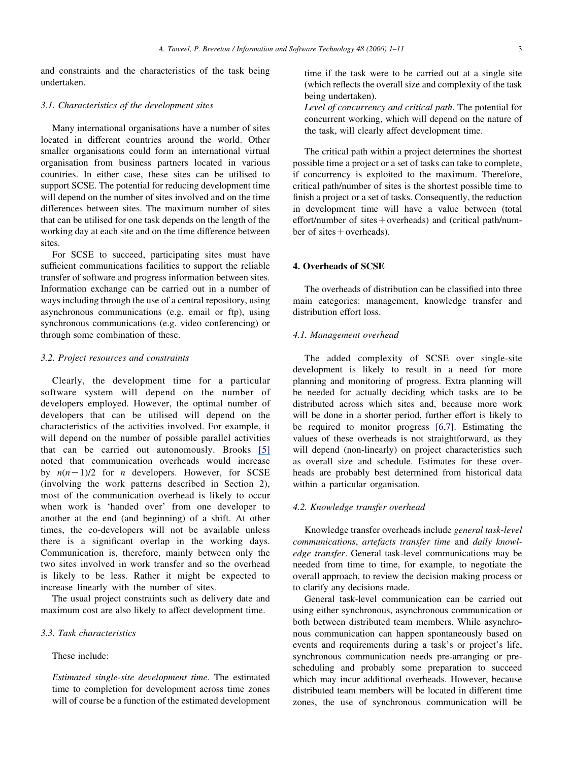and constraints and the characteristics of the task being undertaken.

#### 3.1. Characteristics of the development sites

Many international organisations have a number of sites located in different countries around the world. Other smaller organisations could form an international virtual organisation from business partners located in various countries. In either case, these sites can be utilised to support SCSE. The potential for reducing development time will depend on the number of sites involved and on the time differences between sites. The maximum number of sites that can be utilised for one task depends on the length of the working day at each site and on the time difference between sites.

For SCSE to succeed, participating sites must have sufficient communications facilities to support the reliable transfer of software and progress information between sites. Information exchange can be carried out in a number of ways including through the use of a central repository, using asynchronous communications (e.g. email or ftp), using synchronous communications (e.g. video conferencing) or through some combination of these.

## 3.2. Project resources and constraints

Clearly, the development time for a particular software system will depend on the number of developers employed. However, the optimal number of developers that can be utilised will depend on the characteristics of the activities involved. For example, it will depend on the number of possible parallel activities that can be carried out autonomously. Brooks [\[5\]](#page-10-0) noted that communication overheads would increase by  $n(n-1)/2$  for *n* developers. However, for SCSE (involving the work patterns described in Section 2), most of the communication overhead is likely to occur when work is 'handed over' from one developer to another at the end (and beginning) of a shift. At other times, the co-developers will not be available unless there is a significant overlap in the working days. Communication is, therefore, mainly between only the two sites involved in work transfer and so the overhead is likely to be less. Rather it might be expected to increase linearly with the number of sites.

The usual project constraints such as delivery date and maximum cost are also likely to affect development time.

# 3.3. Task characteristics

These include:

Estimated single-site development time. The estimated time to completion for development across time zones will of course be a function of the estimated development time if the task were to be carried out at a single site (which reflects the overall size and complexity of the task being undertaken).

Level of concurrency and critical path. The potential for concurrent working, which will depend on the nature of the task, will clearly affect development time.

The critical path within a project determines the shortest possible time a project or a set of tasks can take to complete, if concurrency is exploited to the maximum. Therefore, critical path/number of sites is the shortest possible time to finish a project or a set of tasks. Consequently, the reduction in development time will have a value between (total effort/number of sites+overheads) and (critical path/number of sites  $+$  overheads).

#### 4. Overheads of SCSE

The overheads of distribution can be classified into three main categories: management, knowledge transfer and distribution effort loss.

# 4.1. Management overhead

The added complexity of SCSE over single-site development is likely to result in a need for more planning and monitoring of progress. Extra planning will be needed for actually deciding which tasks are to be distributed across which sites and, because more work will be done in a shorter period, further effort is likely to be required to monitor progress [\[6,7\]](#page-10-0). Estimating the values of these overheads is not straightforward, as they will depend (non-linearly) on project characteristics such as overall size and schedule. Estimates for these overheads are probably best determined from historical data within a particular organisation.

### 4.2. Knowledge transfer overhead

Knowledge transfer overheads include general task-level communications, artefacts transfer time and daily knowledge transfer. General task-level communications may be needed from time to time, for example, to negotiate the overall approach, to review the decision making process or to clarify any decisions made.

General task-level communication can be carried out using either synchronous, asynchronous communication or both between distributed team members. While asynchronous communication can happen spontaneously based on events and requirements during a task's or project's life, synchronous communication needs pre-arranging or prescheduling and probably some preparation to succeed which may incur additional overheads. However, because distributed team members will be located in different time zones, the use of synchronous communication will be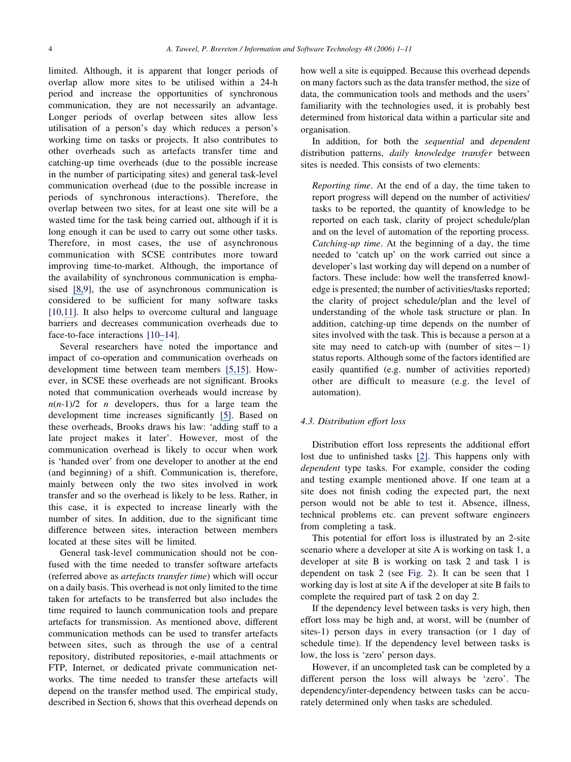limited. Although, it is apparent that longer periods of overlap allow more sites to be utilised within a 24-h period and increase the opportunities of synchronous communication, they are not necessarily an advantage. Longer periods of overlap between sites allow less utilisation of a person's day which reduces a person's working time on tasks or projects. It also contributes to other overheads such as artefacts transfer time and catching-up time overheads (due to the possible increase in the number of participating sites) and general task-level communication overhead (due to the possible increase in periods of synchronous interactions). Therefore, the overlap between two sites, for at least one site will be a wasted time for the task being carried out, although if it is long enough it can be used to carry out some other tasks. Therefore, in most cases, the use of asynchronous communication with SCSE contributes more toward improving time-to-market. Although, the importance of the availability of synchronous communication is emphasised [\[8,9\]](#page-10-0), the use of asynchronous communication is considered to be sufficient for many software tasks [\[10,11\].](#page-10-0) It also helps to overcome cultural and language barriers and decreases communication overheads due to face-to-face interactions [\[10–14\].](#page-10-0)

Several researchers have noted the importance and impact of co-operation and communication overheads on development time between team members [\[5,15\]](#page-10-0). However, in SCSE these overheads are not significant. Brooks noted that communication overheads would increase by  $n(n-1)/2$  for *n* developers, thus for a large team the development time increases significantly [\[5\]](#page-10-0). Based on these overheads, Brooks draws his law: 'adding staff to a late project makes it later'. However, most of the communication overhead is likely to occur when work is 'handed over' from one developer to another at the end (and beginning) of a shift. Communication is, therefore, mainly between only the two sites involved in work transfer and so the overhead is likely to be less. Rather, in this case, it is expected to increase linearly with the number of sites. In addition, due to the significant time difference between sites, interaction between members located at these sites will be limited.

General task-level communication should not be confused with the time needed to transfer software artefacts (referred above as artefacts transfer time) which will occur on a daily basis. This overhead is not only limited to the time taken for artefacts to be transferred but also includes the time required to launch communication tools and prepare artefacts for transmission. As mentioned above, different communication methods can be used to transfer artefacts between sites, such as through the use of a central repository, distributed repositories, e-mail attachments or FTP, Internet, or dedicated private communication networks. The time needed to transfer these artefacts will depend on the transfer method used. The empirical study, described in Section 6, shows that this overhead depends on how well a site is equipped. Because this overhead depends on many factors such as the data transfer method, the size of data, the communication tools and methods and the users' familiarity with the technologies used, it is probably best determined from historical data within a particular site and organisation.

In addition, for both the sequential and dependent distribution patterns, *daily knowledge transfer* between sites is needed. This consists of two elements:

Reporting time. At the end of a day, the time taken to report progress will depend on the number of activities/ tasks to be reported, the quantity of knowledge to be reported on each task, clarity of project schedule/plan and on the level of automation of the reporting process. Catching-up time. At the beginning of a day, the time needed to 'catch up' on the work carried out since a developer's last working day will depend on a number of factors. These include: how well the transferred knowledge is presented; the number of activities/tasks reported; the clarity of project schedule/plan and the level of understanding of the whole task structure or plan. In addition, catching-up time depends on the number of sites involved with the task. This is because a person at a site may need to catch-up with (number of sites $-1$ ) status reports. Although some of the factors identified are easily quantified (e.g. number of activities reported) other are difficult to measure (e.g. the level of automation).

# 4.3. Distribution effort loss

Distribution effort loss represents the additional effort lost due to unfinished tasks [\[2\]](#page-10-0). This happens only with dependent type tasks. For example, consider the coding and testing example mentioned above. If one team at a site does not finish coding the expected part, the next person would not be able to test it. Absence, illness, technical problems etc. can prevent software engineers from completing a task.

This potential for effort loss is illustrated by an 2-site scenario where a developer at site A is working on task 1, a developer at site B is working on task 2 and task 1 is dependent on task 2 (see [Fig. 2](#page-5-0)). It can be seen that 1 working day is lost at site A if the developer at site B fails to complete the required part of task 2 on day 2.

If the dependency level between tasks is very high, then effort loss may be high and, at worst, will be (number of sites-1) person days in every transaction (or 1 day of schedule time). If the dependency level between tasks is low, the loss is 'zero' person days.

However, if an uncompleted task can be completed by a different person the loss will always be 'zero'. The dependency/inter-dependency between tasks can be accurately determined only when tasks are scheduled.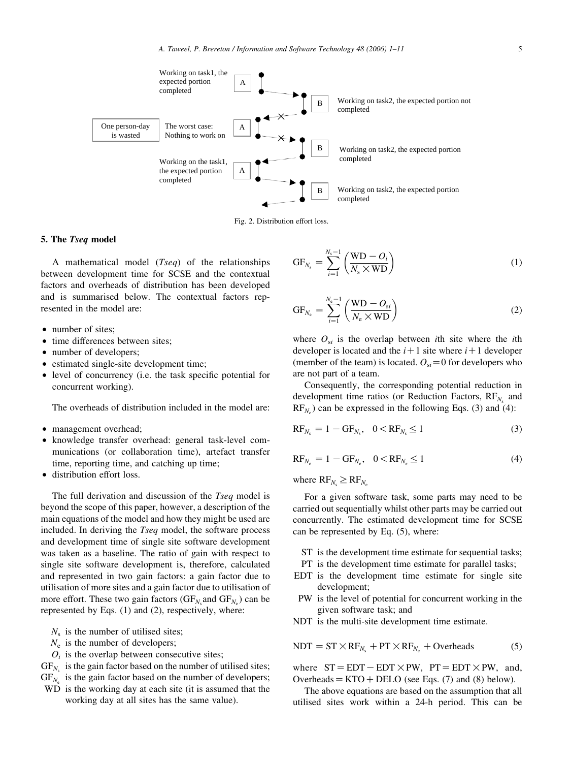<span id="page-5-0"></span>

Fig. 2. Distribution effort loss.

#### 5. The Tsea model

A mathematical model  $(Tseq)$  of the relationships between development time for SCSE and the contextual factors and overheads of distribution has been developed and is summarised below. The contextual factors represented in the model are:

- number of sites:
- time differences between sites;
- number of developers;
- estimated single-site development time;
- level of concurrency (i.e. the task specific potential for concurrent working).

The overheads of distribution included in the model are:

- management overhead;
- † knowledge transfer overhead: general task-level communications (or collaboration time), artefact transfer time, reporting time, and catching up time;
- distribution effort loss.

The full derivation and discussion of the Tseq model is beyond the scope of this paper, however, a description of the main equations of the model and how they might be used are included. In deriving the Tseq model, the software process and development time of single site software development was taken as a baseline. The ratio of gain with respect to single site software development is, therefore, calculated and represented in two gain factors: a gain factor due to utilisation of more sites and a gain factor due to utilisation of more effort. These two gain factors ( $GF_{N_s}$  and  $GF_{N_e}$ ) can be represented by Eqs. (1) and (2), respectively, where:

- $N<sub>s</sub>$  is the number of utilised sites;
- $N_e$  is the number of developers;
- $O_i$  is the overlap between consecutive sites;

```
GF_{N_s} is the gain factor based on the number of utilised sites;
```
- $GF<sub>N</sub>$  is the gain factor based on the number of developers;
- WD is the working day at each site (it is assumed that the working day at all sites has the same value).

$$
GF_{N_s} = \sum_{i=1}^{N_s - 1} \left( \frac{WD - O_i}{N_s \times WD} \right)
$$
 (1)

$$
GF_{N_e} = \sum_{i=1}^{N_e - 1} \left( \frac{WD - O_{si}}{N_e \times WD} \right)
$$
 (2)

where  $O_{si}$  is the overlap between *i*th site where the *i*th developer is located and the  $i+1$  site where  $i+1$  developer (member of the team) is located.  $O_{si}=0$  for developers who are not part of a team.

Consequently, the corresponding potential reduction in development time ratios (or Reduction Factors,  $RF_{N_s}$  and  $RF_{N_e}$ ) can be expressed in the following Eqs. (3) and (4):

$$
RF_{N_s} = 1 - GF_{N_s}, \quad 0 < RF_{N_s} \le 1\tag{3}
$$

$$
RF_{N_e} = 1 - GF_{N_e}, \quad 0 < RF_{N_e} \le 1\tag{4}
$$

where  $RF_{N_s} \geq RF_{N_s}$ 

For a given software task, some parts may need to be carried out sequentially whilst other parts may be carried out concurrently. The estimated development time for SCSE can be represented by Eq. (5), where:

- ST is the development time estimate for sequential tasks;
- PT is the development time estimate for parallel tasks;
- EDT is the development time estimate for single site development;
- PW is the level of potential for concurrent working in the given software task; and
- NDT is the multi-site development time estimate.

$$
NDT = ST \times RF_{N_s} + PT \times RF_{N_e} + Overheads
$$
 (5)

where  $ST = EDT - EDT \times PW$ ,  $PT = EDT \times PW$ , and, Overheads =  $KTO + DELO$  (see Eqs. (7) and (8) below).

The above equations are based on the assumption that all utilised sites work within a 24-h period. This can be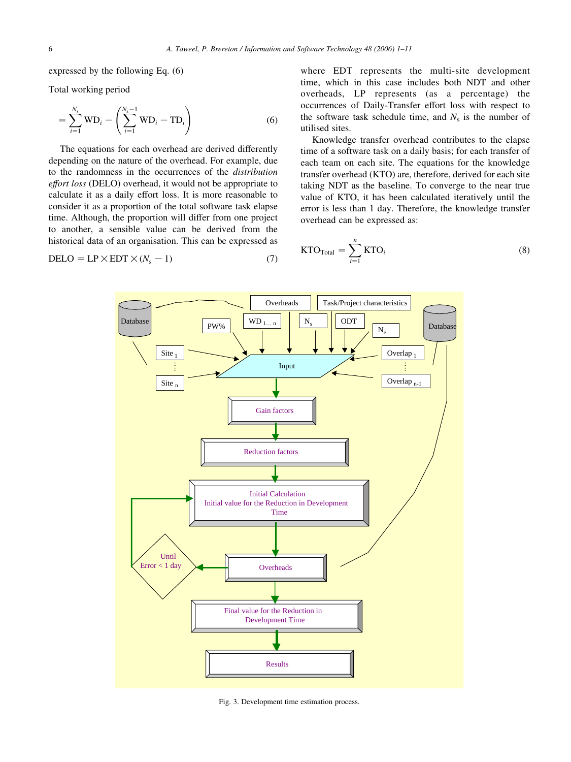<span id="page-6-0"></span>expressed by the following Eq. (6)

Total working period

$$
= \sum_{i=1}^{N_{\rm s}} \text{WD}_i - \left( \sum_{i=1}^{N_{\rm s}-1} \text{WD}_i - \text{TD}_i \right) \tag{6}
$$

The equations for each overhead are derived differently depending on the nature of the overhead. For example, due to the randomness in the occurrences of the distribution effort loss (DELO) overhead, it would not be appropriate to calculate it as a daily effort loss. It is more reasonable to consider it as a proportion of the total software task elapse time. Although, the proportion will differ from one project to another, a sensible value can be derived from the historical data of an organisation. This can be expressed as

$$
DELO = LP \times EDT \times (N_s - 1)
$$
 (7)

where EDT represents the multi-site development time, which in this case includes both NDT and other overheads, LP represents (as a percentage) the occurrences of Daily-Transfer effort loss with respect to the software task schedule time, and  $N<sub>s</sub>$  is the number of utilised sites.

Knowledge transfer overhead contributes to the elapse time of a software task on a daily basis; for each transfer of each team on each site. The equations for the knowledge transfer overhead (KTO) are, therefore, derived for each site taking NDT as the baseline. To converge to the near true value of KTO, it has been calculated iteratively until the error is less than 1 day. Therefore, the knowledge transfer overhead can be expressed as:

$$
KTO_{\text{Total}} = \sum_{i=1}^{n} KTO_i
$$
 (8)



Fig. 3. Development time estimation process.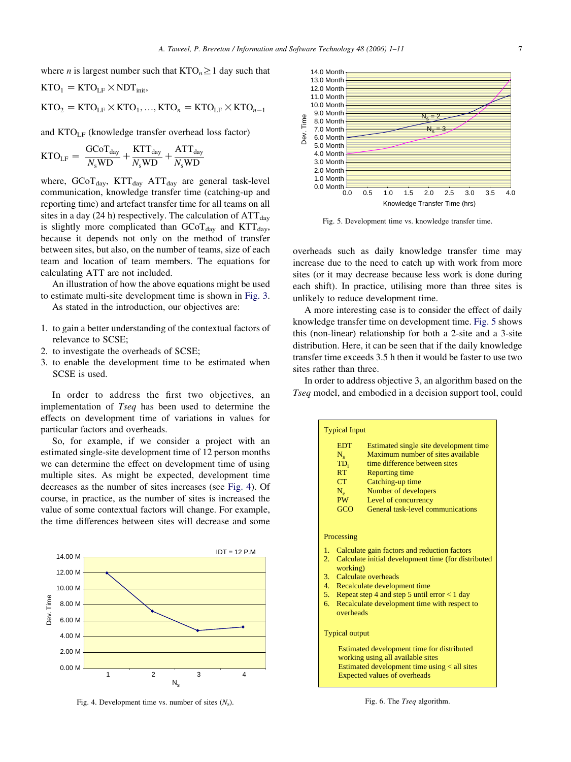<span id="page-7-0"></span>where *n* is largest number such that  $KTO<sub>n</sub> \ge 1$  day such that

$$
KTO1 = KTOLF × NDTinit,
$$
  

$$
KTO2 = KTOLF × KTO1, ..., KTOn = KTOLF × KTOn-1
$$

and  $KTO<sub>LF</sub>$  (knowledge transfer overhead loss factor)

$$
KTO_{LF} = \frac{GCoT_{day}}{N_sWD} + \frac{KTT_{day}}{N_sWD} + \frac{ATT_{day}}{N_sWD}
$$

where,  $GCOT_{day}$ ,  $KTT_{day}$   $ATT_{day}$  are general task-level communication, knowledge transfer time (catching-up and reporting time) and artefact transfer time for all teams on all sites in a day (24 h) respectively. The calculation of  $ATT<sub>day</sub>$ is slightly more complicated than  $GCOT_{\text{dav}}$  and  $KTT_{\text{dav}}$ , because it depends not only on the method of transfer between sites, but also, on the number of teams, size of each team and location of team members. The equations for calculating ATT are not included.

An illustration of how the above equations might be used to estimate multi-site development time is shown in [Fig. 3](#page-6-0).

As stated in the introduction, our objectives are:

- 1. to gain a better understanding of the contextual factors of relevance to SCSE;
- 2. to investigate the overheads of SCSE;
- 3. to enable the development time to be estimated when SCSE is used.

In order to address the first two objectives, an implementation of *Tseq* has been used to determine the effects on development time of variations in values for particular factors and overheads.

So, for example, if we consider a project with an estimated single-site development time of 12 person months we can determine the effect on development time of using multiple sites. As might be expected, development time decreases as the number of sites increases (see Fig. 4). Of course, in practice, as the number of sites is increased the value of some contextual factors will change. For example, the time differences between sites will decrease and some



Fig. 4. Development time vs. number of sites  $(N_s)$ .



Fig. 5. Development time vs. knowledge transfer time.

overheads such as daily knowledge transfer time may increase due to the need to catch up with work from more sites (or it may decrease because less work is done during each shift). In practice, utilising more than three sites is unlikely to reduce development time.

A more interesting case is to consider the effect of daily knowledge transfer time on development time. Fig. 5 shows this (non-linear) relationship for both a 2-site and a 3-site distribution. Here, it can be seen that if the daily knowledge transfer time exceeds 3.5 h then it would be faster to use two sites rather than three.

In order to address objective 3, an algorithm based on the Tseq model, and embodied in a decision support tool, could

| <b>Typical Input</b>                                                                                                                                                                                                                                                                                                      |                                                                     |                                                                                                                                                                                                                                                |  |  |  |
|---------------------------------------------------------------------------------------------------------------------------------------------------------------------------------------------------------------------------------------------------------------------------------------------------------------------------|---------------------------------------------------------------------|------------------------------------------------------------------------------------------------------------------------------------------------------------------------------------------------------------------------------------------------|--|--|--|
|                                                                                                                                                                                                                                                                                                                           | <b>EDT</b><br>N.<br>$TD_i$<br>RT<br>CT<br>$N_e$<br><b>PW</b><br>GCO | Estimated single site development time<br>Maximum number of sites available<br>time difference between sites<br><b>Reporting time</b><br>Catching-up time<br>Number of developers<br>Level of concurrency<br>General task-level communications |  |  |  |
| Processing                                                                                                                                                                                                                                                                                                                |                                                                     |                                                                                                                                                                                                                                                |  |  |  |
| 1.<br>Calculate gain factors and reduction factors<br>Calculate initial development time (for distributed<br>2.<br>working)<br>Calculate overheads<br>3.<br>4.<br>Recalculate development time<br>5.<br>Repeat step 4 and step 5 until error $<$ 1 day<br>Recalculate development time with respect to<br>6.<br>overheads |                                                                     |                                                                                                                                                                                                                                                |  |  |  |
| <b>Typical output</b><br>Estimated development time for distributed<br>working using all available sites<br>Estimated development time using $\lt$ all sites<br><b>Expected values of overheads</b>                                                                                                                       |                                                                     |                                                                                                                                                                                                                                                |  |  |  |

Fig. 6. The Tseq algorithm.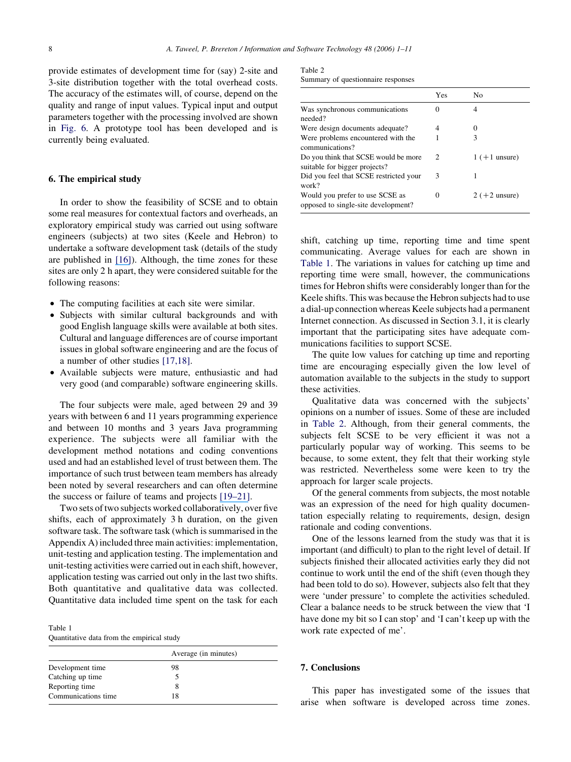provide estimates of development time for (say) 2-site and 3-site distribution together with the total overhead costs. The accuracy of the estimates will, of course, depend on the quality and range of input values. Typical input and output parameters together with the processing involved are shown in [Fig. 6.](#page-7-0) A prototype tool has been developed and is currently being evaluated.

#### 6. The empirical study

In order to show the feasibility of SCSE and to obtain some real measures for contextual factors and overheads, an exploratory empirical study was carried out using software engineers (subjects) at two sites (Keele and Hebron) to undertake a software development task (details of the study are published in [\[16\]\)](#page-11-0). Although, the time zones for these sites are only 2 h apart, they were considered suitable for the following reasons:

- The computing facilities at each site were similar.
- Subjects with similar cultural backgrounds and with good English language skills were available at both sites. Cultural and language differences are of course important issues in global software engineering and are the focus of a number of other studies [\[17,18\]](#page-11-0).
- † Available subjects were mature, enthusiastic and had very good (and comparable) software engineering skills.

The four subjects were male, aged between 29 and 39 years with between 6 and 11 years programming experience and between 10 months and 3 years Java programming experience. The subjects were all familiar with the development method notations and coding conventions used and had an established level of trust between them. The importance of such trust between team members has already been noted by several researchers and can often determine the success or failure of teams and projects [\[19–21\].](#page-11-0)

Two sets of two subjects worked collaboratively, over five shifts, each of approximately 3 h duration, on the given software task. The software task (which is summarised in the Appendix A) included three main activities: implementation, unit-testing and application testing. The implementation and unit-testing activities were carried out in each shift, however, application testing was carried out only in the last two shifts. Both quantitative and qualitative data was collected. Quantitative data included time spent on the task for each

Table 1 Quantitative data from the empirical study

|                     | Average (in minutes) |  |
|---------------------|----------------------|--|
| Development time    | 98                   |  |
| Catching up time    |                      |  |
| Reporting time      |                      |  |
| Communications time | 18                   |  |

Table 2 Summary of questionnaire responses

|                                                                        | Yes | No               |
|------------------------------------------------------------------------|-----|------------------|
| Was synchronous communications<br>needed?                              | 0   | 4                |
| Were design documents adequate?                                        | 4   |                  |
| Were problems encountered with the<br>communications?                  |     | 3                |
| Do you think that SCSE would be more<br>suitable for bigger projects?  | 2   | $1 (+ 1$ unsure) |
| Did you feel that SCSE restricted your<br>work?                        | 3   |                  |
| Would you prefer to use SCSE as<br>opposed to single-site development? | 0   | $2 (+2$ unsure)  |

shift, catching up time, reporting time and time spent communicating. Average values for each are shown in Table 1. The variations in values for catching up time and reporting time were small, however, the communications times for Hebron shifts were considerably longer than for the Keele shifts. This was because the Hebron subjects had to use a dial-up connection whereas Keele subjects had a permanent Internet connection. As discussed in Section 3.1, it is clearly important that the participating sites have adequate communications facilities to support SCSE.

The quite low values for catching up time and reporting time are encouraging especially given the low level of automation available to the subjects in the study to support these activities.

Qualitative data was concerned with the subjects' opinions on a number of issues. Some of these are included in Table 2. Although, from their general comments, the subjects felt SCSE to be very efficient it was not a particularly popular way of working. This seems to be because, to some extent, they felt that their working style was restricted. Nevertheless some were keen to try the approach for larger scale projects.

Of the general comments from subjects, the most notable was an expression of the need for high quality documentation especially relating to requirements, design, design rationale and coding conventions.

One of the lessons learned from the study was that it is important (and difficult) to plan to the right level of detail. If subjects finished their allocated activities early they did not continue to work until the end of the shift (even though they had been told to do so). However, subjects also felt that they were 'under pressure' to complete the activities scheduled. Clear a balance needs to be struck between the view that 'I have done my bit so I can stop' and 'I can't keep up with the work rate expected of me'.

#### 7. Conclusions

This paper has investigated some of the issues that arise when software is developed across time zones.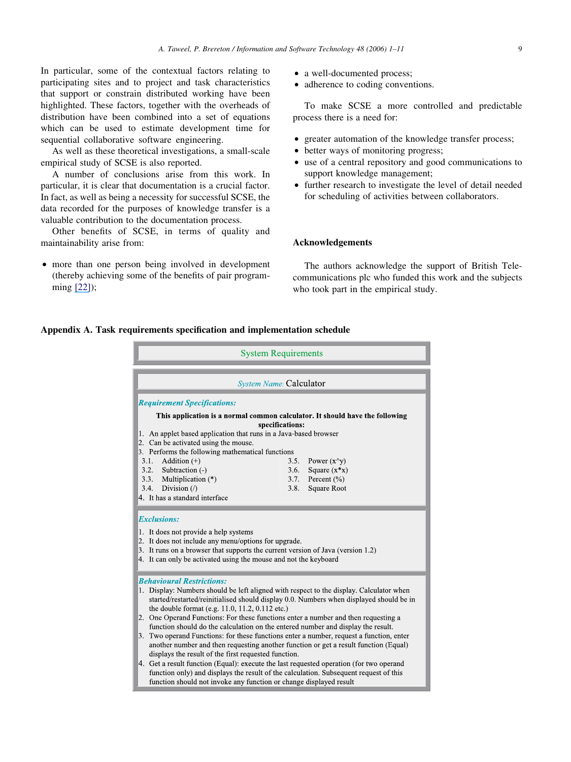In particular, some of the contextual factors relating to participating sites and to project and task characteristics that support or constrain distributed working have been highlighted. These factors, together with the overheads of distribution have been combined into a set of equations which can be used to estimate development time for sequential collaborative software engineering.

As well as these theoretical investigations, a small-scale empirical study of SCSE is also reported.

A number of conclusions arise from this work. In particular, it is clear that documentation is a crucial factor. In fact, as well as being a necessity for successful SCSE, the data recorded for the purposes of knowledge transfer is a valuable contribution to the documentation process.

Other benefits of SCSE, in terms of quality and maintainability arise from:

• more than one person being involved in development (thereby achieving some of the benefits of pair programming [\[22\]\)](#page-11-0);

- a well-documented process;
- adherence to coding conventions.

To make SCSE a more controlled and predictable process there is a need for:

- greater automation of the knowledge transfer process;
- better ways of monitoring progress;
- † use of a central repository and good communications to support knowledge management;
- further research to investigate the level of detail needed for scheduling of activities between collaborators.

#### Acknowledgements

The authors acknowledge the support of British Telecommunications plc who funded this work and the subjects who took part in the empirical study.

## Appendix A. Task requirements specification and implementation schedule

| <b>System Requirements</b>                                                                                                                                                                                                                                                                                                                                                                                                                                                                                                                                                                                                                                                                                                                                                                                                                                                                                                                               |  |  |  |  |  |  |
|----------------------------------------------------------------------------------------------------------------------------------------------------------------------------------------------------------------------------------------------------------------------------------------------------------------------------------------------------------------------------------------------------------------------------------------------------------------------------------------------------------------------------------------------------------------------------------------------------------------------------------------------------------------------------------------------------------------------------------------------------------------------------------------------------------------------------------------------------------------------------------------------------------------------------------------------------------|--|--|--|--|--|--|
| <b>System Name: Calculator</b>                                                                                                                                                                                                                                                                                                                                                                                                                                                                                                                                                                                                                                                                                                                                                                                                                                                                                                                           |  |  |  |  |  |  |
| <b>Requirement Specifications:</b><br>This application is a normal common calculator. It should have the following<br>specifications:<br>1. An applet based application that runs in a Java-based browser<br>2. Can be activated using the mouse.<br>3. Performs the following mathematical functions<br>3.1.<br>Addition $(+)$<br>Power $(x^y)$<br>3.5.<br>3.2.<br>Subtraction (-)<br>3.6.<br>Square $(x*x)$<br>3.3.<br>Multiplication (*)<br>3.7.<br>Percent $(\% )$<br>3.4.<br>Division $\left\langle \right\rangle$<br><b>Square Root</b><br>3.8.<br>4. It has a standard interface                                                                                                                                                                                                                                                                                                                                                                  |  |  |  |  |  |  |
| <b>Exclusions:</b><br>1. It does not provide a help systems<br>2. It does not include any menu/options for upgrade.<br>3. It runs on a browser that supports the current version of Java (version 1.2)<br>4. It can only be activated using the mouse and not the keyboard                                                                                                                                                                                                                                                                                                                                                                                                                                                                                                                                                                                                                                                                               |  |  |  |  |  |  |
| <b>Behavioural Restrictions:</b><br>1. Display: Numbers should be left aligned with respect to the display. Calculator when<br>started/restarted/reinitialised should display 0.0. Numbers when displayed should be in<br>the double format (e.g. 11.0, 11.2, 0.112 etc.)<br>2. One Operand Functions: For these functions enter a number and then requesting a<br>function should do the calculation on the entered number and display the result.<br>3. Two operand Functions: for these functions enter a number, request a function, enter<br>another number and then requesting another function or get a result function (Equal)<br>displays the result of the first requested function.<br>4. Get a result function (Equal): execute the last requested operation (for two operand<br>function only) and displays the result of the calculation. Subsequent request of this<br>function should not invoke any function or change displayed result |  |  |  |  |  |  |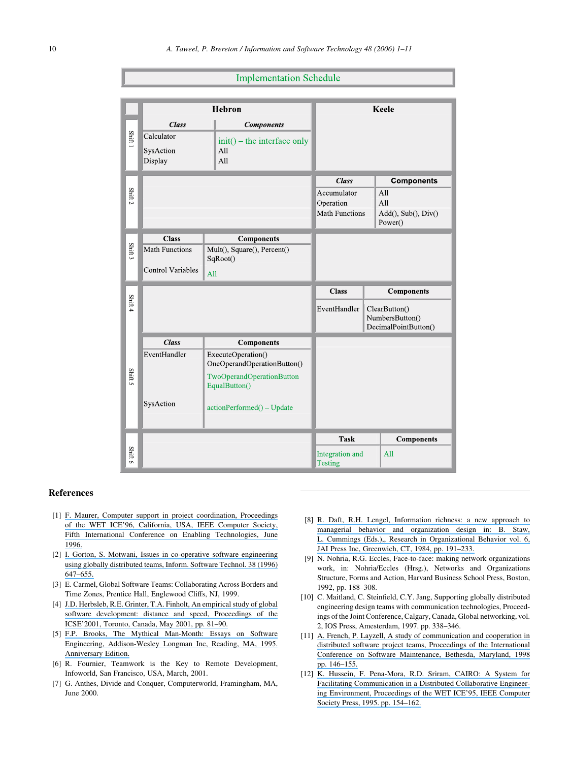<span id="page-10-0"></span>

#### **Implementation Schedule**

#### References

- [1] [F. Maurer, Computer support in project coordination, Proceedings](https://www.researchgate.net/publication/221015591_Working_Group_Report_on_Computer_Support_in_Project_Coordination?el=1_x_8&enrichId=rgreq-f1b5d109ee81480a62843f7e3348d16b-XXX&enrichSource=Y292ZXJQYWdlOzIyMDYwOTg0MjtBUzo5ODc5NjkxMDQxNTg3NkAxNDAwNTY2NDI3MDQx) [of the WET ICE'96, California, USA, IEEE Computer Society,](https://www.researchgate.net/publication/221015591_Working_Group_Report_on_Computer_Support_in_Project_Coordination?el=1_x_8&enrichId=rgreq-f1b5d109ee81480a62843f7e3348d16b-XXX&enrichSource=Y292ZXJQYWdlOzIyMDYwOTg0MjtBUzo5ODc5NjkxMDQxNTg3NkAxNDAwNTY2NDI3MDQx) [Fifth International Conference on Enabling Technologies, June](https://www.researchgate.net/publication/221015591_Working_Group_Report_on_Computer_Support_in_Project_Coordination?el=1_x_8&enrichId=rgreq-f1b5d109ee81480a62843f7e3348d16b-XXX&enrichSource=Y292ZXJQYWdlOzIyMDYwOTg0MjtBUzo5ODc5NjkxMDQxNTg3NkAxNDAwNTY2NDI3MDQx) [1996.](https://www.researchgate.net/publication/221015591_Working_Group_Report_on_Computer_Support_in_Project_Coordination?el=1_x_8&enrichId=rgreq-f1b5d109ee81480a62843f7e3348d16b-XXX&enrichSource=Y292ZXJQYWdlOzIyMDYwOTg0MjtBUzo5ODc5NjkxMDQxNTg3NkAxNDAwNTY2NDI3MDQx)
- [2] [I. Gorton, S. Motwani, Issues in co-operative software engineering](https://www.researchgate.net/publication/222859774_Issues_in_co-operative_software_engineering_using_globally_distributed_teams?el=1_x_8&enrichId=rgreq-f1b5d109ee81480a62843f7e3348d16b-XXX&enrichSource=Y292ZXJQYWdlOzIyMDYwOTg0MjtBUzo5ODc5NjkxMDQxNTg3NkAxNDAwNTY2NDI3MDQx) [using globally distributed teams, Inform. Software Technol. 38 \(1996\)](https://www.researchgate.net/publication/222859774_Issues_in_co-operative_software_engineering_using_globally_distributed_teams?el=1_x_8&enrichId=rgreq-f1b5d109ee81480a62843f7e3348d16b-XXX&enrichSource=Y292ZXJQYWdlOzIyMDYwOTg0MjtBUzo5ODc5NjkxMDQxNTg3NkAxNDAwNTY2NDI3MDQx) [647–655.](https://www.researchgate.net/publication/222859774_Issues_in_co-operative_software_engineering_using_globally_distributed_teams?el=1_x_8&enrichId=rgreq-f1b5d109ee81480a62843f7e3348d16b-XXX&enrichSource=Y292ZXJQYWdlOzIyMDYwOTg0MjtBUzo5ODc5NjkxMDQxNTg3NkAxNDAwNTY2NDI3MDQx)
- [3] E. Carmel, Global Software Teams: Collaborating Across Borders and Time Zones, Prentice Hall, Englewood Cliffs, NJ, 1999.
- [4] [J.D. Herbsleb, R.E. Grinter, T.A. Finholt, An empirical study of global](https://www.researchgate.net/publication/3895369_An_Empirical_Study_of_Global_Software_Development_Distance_and_Speed?el=1_x_8&enrichId=rgreq-f1b5d109ee81480a62843f7e3348d16b-XXX&enrichSource=Y292ZXJQYWdlOzIyMDYwOTg0MjtBUzo5ODc5NjkxMDQxNTg3NkAxNDAwNTY2NDI3MDQx) [software development: distance and speed, Proceedings of the](https://www.researchgate.net/publication/3895369_An_Empirical_Study_of_Global_Software_Development_Distance_and_Speed?el=1_x_8&enrichId=rgreq-f1b5d109ee81480a62843f7e3348d16b-XXX&enrichSource=Y292ZXJQYWdlOzIyMDYwOTg0MjtBUzo5ODc5NjkxMDQxNTg3NkAxNDAwNTY2NDI3MDQx) [ICSE'2001, Toronto, Canada, May 2001, pp. 81–90.](https://www.researchgate.net/publication/3895369_An_Empirical_Study_of_Global_Software_Development_Distance_and_Speed?el=1_x_8&enrichId=rgreq-f1b5d109ee81480a62843f7e3348d16b-XXX&enrichSource=Y292ZXJQYWdlOzIyMDYwOTg0MjtBUzo5ODc5NjkxMDQxNTg3NkAxNDAwNTY2NDI3MDQx)
- [5] [F.P. Brooks, The Mythical Man-Month: Essays on Software](https://www.researchgate.net/publication/220689892_The_Mythical_Man-Month_Essays_on_Software_Engineering?el=1_x_8&enrichId=rgreq-f1b5d109ee81480a62843f7e3348d16b-XXX&enrichSource=Y292ZXJQYWdlOzIyMDYwOTg0MjtBUzo5ODc5NjkxMDQxNTg3NkAxNDAwNTY2NDI3MDQx) [Engineering, Addison-Wesley Longman Inc, Reading, MA, 1995.](https://www.researchgate.net/publication/220689892_The_Mythical_Man-Month_Essays_on_Software_Engineering?el=1_x_8&enrichId=rgreq-f1b5d109ee81480a62843f7e3348d16b-XXX&enrichSource=Y292ZXJQYWdlOzIyMDYwOTg0MjtBUzo5ODc5NjkxMDQxNTg3NkAxNDAwNTY2NDI3MDQx) [Anniversary Edition.](https://www.researchgate.net/publication/220689892_The_Mythical_Man-Month_Essays_on_Software_Engineering?el=1_x_8&enrichId=rgreq-f1b5d109ee81480a62843f7e3348d16b-XXX&enrichSource=Y292ZXJQYWdlOzIyMDYwOTg0MjtBUzo5ODc5NjkxMDQxNTg3NkAxNDAwNTY2NDI3MDQx)
- [6] R. Fournier, Teamwork is the Key to Remote Development, Infoworld, San Francisco, USA, March, 2001.
- [7] G. Anthes, Divide and Conquer, Computerworld, Framingham, MA, June 2000.
- [8] [R. Daft, R.H. Lengel, Information richness: a new approach to](https://www.researchgate.net/publication/235200674_Information_Richness_A_New_Approach_to_Managerial_Behavior_and_Organization_Design?el=1_x_8&enrichId=rgreq-f1b5d109ee81480a62843f7e3348d16b-XXX&enrichSource=Y292ZXJQYWdlOzIyMDYwOTg0MjtBUzo5ODc5NjkxMDQxNTg3NkAxNDAwNTY2NDI3MDQx) [managerial behavior and organization design in: B. Staw,](https://www.researchgate.net/publication/235200674_Information_Richness_A_New_Approach_to_Managerial_Behavior_and_Organization_Design?el=1_x_8&enrichId=rgreq-f1b5d109ee81480a62843f7e3348d16b-XXX&enrichSource=Y292ZXJQYWdlOzIyMDYwOTg0MjtBUzo5ODc5NjkxMDQxNTg3NkAxNDAwNTY2NDI3MDQx) [L. Cummings \(Eds.\),, Research in Organizational Behavior vol. 6,](https://www.researchgate.net/publication/235200674_Information_Richness_A_New_Approach_to_Managerial_Behavior_and_Organization_Design?el=1_x_8&enrichId=rgreq-f1b5d109ee81480a62843f7e3348d16b-XXX&enrichSource=Y292ZXJQYWdlOzIyMDYwOTg0MjtBUzo5ODc5NjkxMDQxNTg3NkAxNDAwNTY2NDI3MDQx) [JAI Press Inc, Greenwich, CT, 1984, pp. 191–233.](https://www.researchgate.net/publication/235200674_Information_Richness_A_New_Approach_to_Managerial_Behavior_and_Organization_Design?el=1_x_8&enrichId=rgreq-f1b5d109ee81480a62843f7e3348d16b-XXX&enrichSource=Y292ZXJQYWdlOzIyMDYwOTg0MjtBUzo5ODc5NjkxMDQxNTg3NkAxNDAwNTY2NDI3MDQx)
- [9] N. Nohria, R.G. Eccles, Face-to-face: making network organizations work, in: Nohria/Eccles (Hrsg.), Networks and Organizations Structure, Forms and Action, Harvard Business School Press, Boston, 1992, pp. 188–308.
- [10] C. Maitland, C. Steinfield, C.Y. Jang, Supporting globally distributed engineering design teams with communication technologies, Proceedings of the Joint Conference, Calgary, Canada, Global networking, vol. 2, IOS Press, Amesterdam, 1997. pp. 338–346.
- [11] [A. French, P. Layzell, A study of communication and cooperation in](https://www.researchgate.net/publication/3784759_A_study_of_communication_and_cooperation_in_distributed_softwareproject_teams?el=1_x_8&enrichId=rgreq-f1b5d109ee81480a62843f7e3348d16b-XXX&enrichSource=Y292ZXJQYWdlOzIyMDYwOTg0MjtBUzo5ODc5NjkxMDQxNTg3NkAxNDAwNTY2NDI3MDQx) [distributed software project teams, Proceedings of the International](https://www.researchgate.net/publication/3784759_A_study_of_communication_and_cooperation_in_distributed_softwareproject_teams?el=1_x_8&enrichId=rgreq-f1b5d109ee81480a62843f7e3348d16b-XXX&enrichSource=Y292ZXJQYWdlOzIyMDYwOTg0MjtBUzo5ODc5NjkxMDQxNTg3NkAxNDAwNTY2NDI3MDQx) [Conference on Software Maintenance, Bethesda, Maryland, 1998](https://www.researchgate.net/publication/3784759_A_study_of_communication_and_cooperation_in_distributed_softwareproject_teams?el=1_x_8&enrichId=rgreq-f1b5d109ee81480a62843f7e3348d16b-XXX&enrichSource=Y292ZXJQYWdlOzIyMDYwOTg0MjtBUzo5ODc5NjkxMDQxNTg3NkAxNDAwNTY2NDI3MDQx) [pp. 146–155.](https://www.researchgate.net/publication/3784759_A_study_of_communication_and_cooperation_in_distributed_softwareproject_teams?el=1_x_8&enrichId=rgreq-f1b5d109ee81480a62843f7e3348d16b-XXX&enrichSource=Y292ZXJQYWdlOzIyMDYwOTg0MjtBUzo5ODc5NjkxMDQxNTg3NkAxNDAwNTY2NDI3MDQx)
- [12] [K. Hussein, F. Pena-Mora, R.D. Sriram, CAIRO: A System for](https://www.researchgate.net/publication/221015534_CAIRO_A_system_for_facilitating_communication_in_a_distributed_collaborative_engineering_environment?el=1_x_8&enrichId=rgreq-f1b5d109ee81480a62843f7e3348d16b-XXX&enrichSource=Y292ZXJQYWdlOzIyMDYwOTg0MjtBUzo5ODc5NjkxMDQxNTg3NkAxNDAwNTY2NDI3MDQx) [Facilitating Communication in a Distributed Collaborative Engineer](https://www.researchgate.net/publication/221015534_CAIRO_A_system_for_facilitating_communication_in_a_distributed_collaborative_engineering_environment?el=1_x_8&enrichId=rgreq-f1b5d109ee81480a62843f7e3348d16b-XXX&enrichSource=Y292ZXJQYWdlOzIyMDYwOTg0MjtBUzo5ODc5NjkxMDQxNTg3NkAxNDAwNTY2NDI3MDQx)[ing Environment, Proceedings of the WET ICE'95, IEEE Computer](https://www.researchgate.net/publication/221015534_CAIRO_A_system_for_facilitating_communication_in_a_distributed_collaborative_engineering_environment?el=1_x_8&enrichId=rgreq-f1b5d109ee81480a62843f7e3348d16b-XXX&enrichSource=Y292ZXJQYWdlOzIyMDYwOTg0MjtBUzo5ODc5NjkxMDQxNTg3NkAxNDAwNTY2NDI3MDQx) [Society Press, 1995. pp. 154–162.](https://www.researchgate.net/publication/221015534_CAIRO_A_system_for_facilitating_communication_in_a_distributed_collaborative_engineering_environment?el=1_x_8&enrichId=rgreq-f1b5d109ee81480a62843f7e3348d16b-XXX&enrichSource=Y292ZXJQYWdlOzIyMDYwOTg0MjtBUzo5ODc5NjkxMDQxNTg3NkAxNDAwNTY2NDI3MDQx)